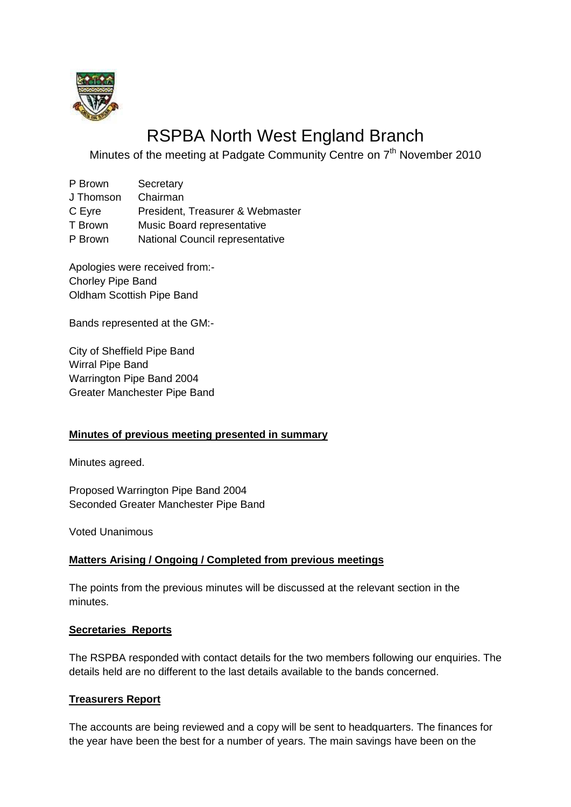

# RSPBA North West England Branch

Minutes of the meeting at Padgate Community Centre on 7<sup>th</sup> November 2010

| P Brown   | Secretary                        |
|-----------|----------------------------------|
| J Thomson | Chairman                         |
| C Eyre    | President, Treasurer & Webmaster |
| T Brown   | Music Board representative       |
| P Brown   | National Council representative  |

Apologies were received from:- Chorley Pipe Band Oldham Scottish Pipe Band

Bands represented at the GM:-

City of Sheffield Pipe Band Wirral Pipe Band Warrington Pipe Band 2004 Greater Manchester Pipe Band

## **Minutes of previous meeting presented in summary**

Minutes agreed.

Proposed Warrington Pipe Band 2004 Seconded Greater Manchester Pipe Band

Voted Unanimous

## **Matters Arising / Ongoing / Completed from previous meetings**

The points from the previous minutes will be discussed at the relevant section in the minutes.

## **Secretaries Reports**

The RSPBA responded with contact details for the two members following our enquiries. The details held are no different to the last details available to the bands concerned.

## **Treasurers Report**

The accounts are being reviewed and a copy will be sent to headquarters. The finances for the year have been the best for a number of years. The main savings have been on the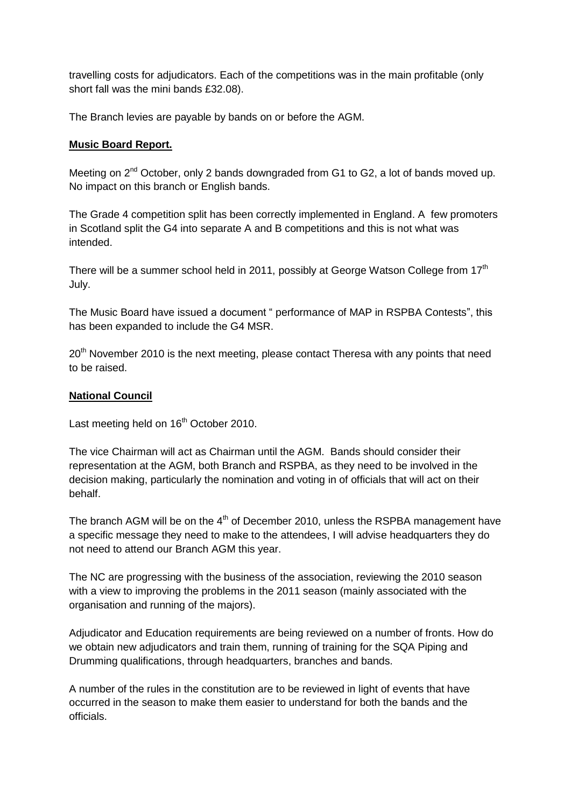travelling costs for adjudicators. Each of the competitions was in the main profitable (only short fall was the mini bands £32.08).

The Branch levies are payable by bands on or before the AGM.

#### **Music Board Report.**

Meeting on  $2^{nd}$  October, only 2 bands downgraded from G1 to G2, a lot of bands moved up. No impact on this branch or English bands.

The Grade 4 competition split has been correctly implemented in England. A few promoters in Scotland split the G4 into separate A and B competitions and this is not what was intended.

There will be a summer school held in 2011, possibly at George Watson College from  $17<sup>th</sup>$ July.

The Music Board have issued a document " performance of MAP in RSPBA Contests", this has been expanded to include the G4 MSR.

20<sup>th</sup> November 2010 is the next meeting, please contact Theresa with any points that need to be raised.

#### **National Council**

Last meeting held on 16<sup>th</sup> October 2010.

The vice Chairman will act as Chairman until the AGM. Bands should consider their representation at the AGM, both Branch and RSPBA, as they need to be involved in the decision making, particularly the nomination and voting in of officials that will act on their behalf.

The branch AGM will be on the  $4<sup>th</sup>$  of December 2010, unless the RSPBA management have a specific message they need to make to the attendees, I will advise headquarters they do not need to attend our Branch AGM this year.

The NC are progressing with the business of the association, reviewing the 2010 season with a view to improving the problems in the 2011 season (mainly associated with the organisation and running of the majors).

Adjudicator and Education requirements are being reviewed on a number of fronts. How do we obtain new adjudicators and train them, running of training for the SQA Piping and Drumming qualifications, through headquarters, branches and bands.

A number of the rules in the constitution are to be reviewed in light of events that have occurred in the season to make them easier to understand for both the bands and the officials.